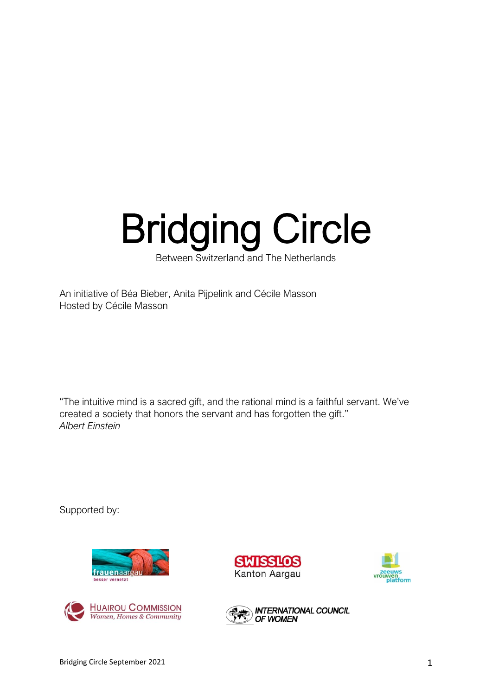# Bridging Circle

Between Switzerland and The Netherlands

An initiative of Béa Bieber, Anita Pijpelink and Cécile Masson Hosted by Cécile Masson

"The intuitive mind is a sacred gift, and the rational mind is a faithful servant. We've created a society that honors the servant and has forgotten the gift." *Albert Einstein*

Supported by:









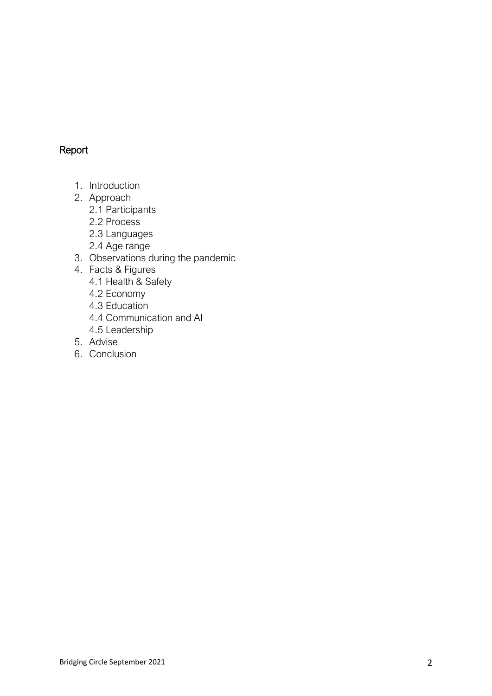# Report

- 1. Introduction
- 2. Approach
	- 2.1 Participants
	- 2.2 Process
	- 2.3 Languages
	- 2.4 Age range
- 3. Observations during the pandemic
- 4. Facts & Figures
	- 4.1 Health & Safety
	- 4.2 Economy
	- 4.3 Education
	- 4.4 Communication and AI
	- 4.5 Leadership
- 5. Advise
- 6. Conclusion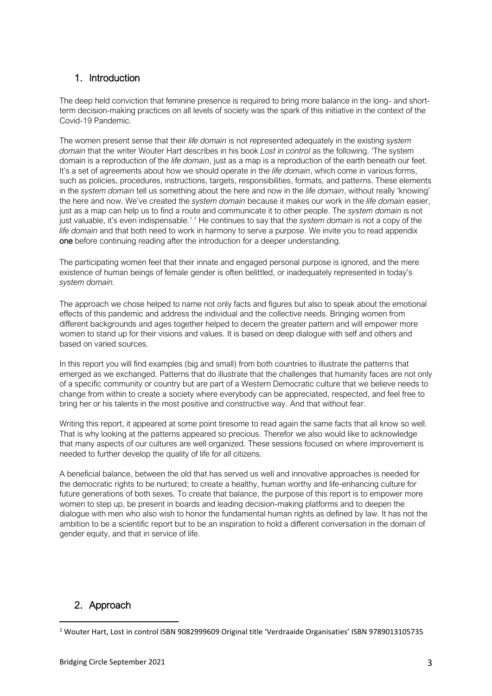# 1. Introduction

The deep held conviction that feminine presence is required to bring more balance in the long- and shortterm decision-making practices on all levels of society was the spark of this initiative in the context of the Covid-19 Pandemic.

The women present sense that their *life domain* is not represented adequately in the existing *system domain* that the writer Wouter Hart describes in his book *Lost in control* as the following. 'The system domain is a reproduction of the *life domain*, just as a map is a reproduction of the earth beneath our feet. It's a set of agreements about how we should operate in the *life domain*, which come in various forms, such as policies, procedures, instructions, targets, responsibilities, formats, and patterns. These elements in the *system domain* tell us something about the here and now in the *life domain*, without really 'knowing' the here and now. We've created the *system domain* because it makes our work in the *life domain* easier, just as a map can help us to find a route and communicate it to other people. The *system domain* is not just valuable, it's even indispensable.*' <sup>1</sup>* He continues to say that the *system domain* is not a copy of the *life domain* and that both need to work in harmony to serve a purpose. We invite you to read appendix one before continuing reading after the introduction for a deeper understanding.

The participating women feel that their innate and engaged personal purpose is ignored, and the mere existence of human beings of female gender is often belittled, or inadequately represented in today's *system domain.*

The approach we chose helped to name not only facts and figures but also to speak about the emotional effects of this pandemic and address the individual and the collective needs. Bringing women from different backgrounds and ages together helped to decern the greater pattern and will empower more women to stand up for their visions and values. It is based on deep dialogue with self and others and based on varied sources.

In this report you will find examples (big and small) from both countries to illustrate the patterns that emerged as we exchanged. Patterns that do illustrate that the challenges that humanity faces are not only of a specific community or country but are part of a Western Democratic culture that we believe needs to change from within to create a society where everybody can be appreciated, respected, and feel free to bring her or his talents in the most positive and constructive way. And that without fear.

Writing this report, it appeared at some point tiresome to read again the same facts that all know so well. That is why looking at the patterns appeared so precious. Therefor we also would like to acknowledge that many aspects of our cultures are well organized. These sessions focused on where improvement is needed to further develop the quality of life for all citizens.

A beneficial balance, between the old that has served us well and innovative approaches is needed for the democratic rights to be nurtured; to create a healthy, human worthy and life-enhancing culture for future generations of both sexes. To create that balance, the purpose of this report is to empower more women to step up, be present in boards and leading decision-making platforms and to deepen the dialogue with men who also wish to honor the fundamental human rights as defined by law. It has not the ambition to be a scientific report but to be an inspiration to hold a different conversation in the domain of gender equity, and that in service of life.

# 2. Approach

<sup>&</sup>lt;sup>1</sup> Wouter Hart, Lost in control ISBN 9082999609 Original title 'Verdraaide Organisaties' ISBN 9789013105735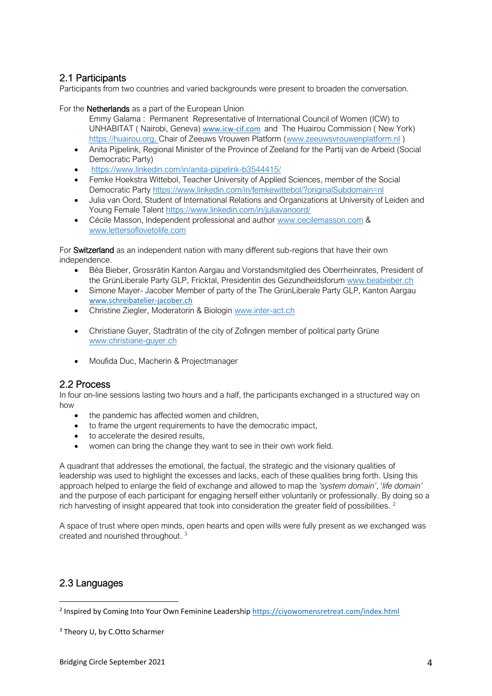# 2.1 Participants

Participants from two countries and varied backgrounds were present to broaden the conversation.

For the Netherlands as a part of the European Union

- Emmy Galama : Permanent Representative of International Council of Women (ICW) to UNHABITAT ( Nairobi, Geneva) [www.icw-cif.com](http://www.icw-cif.com/) and The Huairou Commission ( New York) [https://huairou.org,](https://huairou.org/) Chair of Zeeuws Vrouwen Platform [\(www.zeeuwsvrouwenplatform.nl](http://www.zeeuwsvrouwenplatform.nl/) )
- Anita Pijpelink, Regional Minister of the Province of Zeeland for the Partij van de Arbeid (Social Democratic Party)
- <https://www.linkedin.com/in/anita-pijpelink-b3544415/>
- Femke Hoekstra Wittebol, Teacher University of Applied Sciences, member of the Social Democratic Party<https://www.linkedin.com/in/femkewittebol/?originalSubdomain=nl>
- Julia van Oord, Student of International Relations and Organizations at University of Leiden and Young Female Talent<https://www.linkedin.com/in/juliavanoord/>
- Cécile Masson, Independent professional and author [www.cecilemasson.com](http://www.cecilemasson.com/) & [www.lettersoflovetolife.com](http://www.lettersoflovetolife.com/)

For Switzerland as an independent nation with many different sub-regions that have their own independence.

- Béa Bieber, Grossrätin Kanton Aargau and Vorstandsmitglied des Oberrheinrates, President of the GrünLiberale Party GLP, Fricktal, Presidentin des Gezundheidsforum [www.beabieber.ch](http://www.beabieber.ch/)
- Simone Mayer- Jacober Member of party of the The GrünLiberale Party GLP, Kanton Aargau [www.schreibatelier-jacober.ch](http://www.schreibatelier-jacober.ch/)
- Christine Ziegler, Moderatorin & Biologin [www.inter-act.ch](http://www.inter-act.ch/)
- Christiane Guyer, Stadträtin of the city of Zofingen member of political party Grüne [www.christiane-guyer.ch](http://www.christiane-guyer.ch/)
- Moufida Duc, Macherin & Projectmanager

## 2.2 Process

In four on-line sessions lasting two hours and a half, the participants exchanged in a structured way on how

- the pandemic has affected women and children,
- to frame the urgent requirements to have the democratic impact,
- to accelerate the desired results,
- women can bring the change they want to see in their own work field.

A quadrant that addresses the emotional, the factual, the strategic and the visionary qualities of leadership was used to highlight the excesses and lacks, each of these qualities bring forth. Using this approach helped to enlarge the field of exchange and allowed to map the *'system domain'*, '*life domain'* and the purpose of each participant for engaging herself either voluntarily or professionally. By doing so a rich harvesting of insight appeared that took into consideration the greater field of possibilities. <sup>2</sup>

A space of trust where open minds, open hearts and open wills were fully present as we exchanged was created and nourished throughout.<sup>3</sup>

## 2.3 Languages

<sup>&</sup>lt;sup>2</sup> Inspired by Coming Into Your Own Feminine Leadershi[p https://ciyowomensretreat.com/index.html](https://ciyowomensretreat.com/index.html)

<sup>&</sup>lt;sup>3</sup> Theory U, by C.Otto Scharmer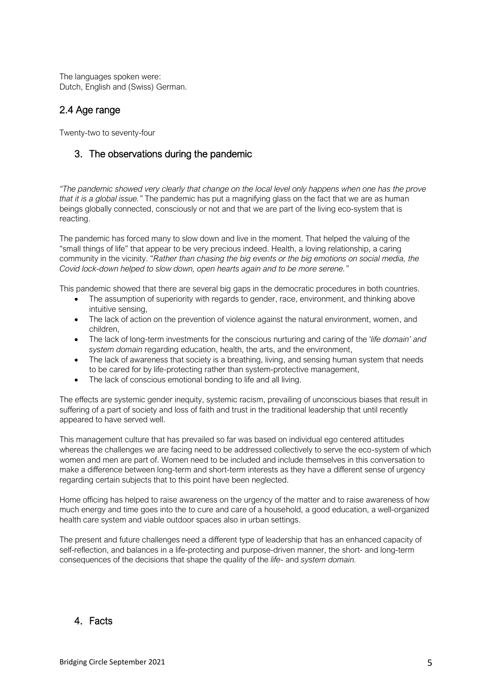The languages spoken were: Dutch, English and (Swiss) German.

## 2.4 Age range

Twenty-two to seventy-four

# 3. The observations during the pandemic

*"The pandemic showed very clearly that change on the local level only happens when one has the prove that it is a global issue."* The pandemic has put a magnifying glass on the fact that we are as human beings globally connected, consciously or not and that we are part of the living eco-system that is reacting.

The pandemic has forced many to slow down and live in the moment. That helped the valuing of the "small things of life" that appear to be very precious indeed. Health, a loving relationship, a caring community in the vicinity. "*Rather than chasing the big events or the big emotions on social media, the Covid lock-down helped to slow down, open hearts again and to be more serene."*

This pandemic showed that there are several big gaps in the democratic procedures in both countries.

- The assumption of superiority with regards to gender, race, environment, and thinking above intuitive sensing,
- The lack of action on the prevention of violence against the natural environment, women, and children,
- The lack of long-term investments for the conscious nurturing and caring of the '*life domain' and system domain* regarding education, health, the arts, and the environment,
- The lack of awareness that society is a breathing, living, and sensing human system that needs to be cared for by life-protecting rather than system-protective management,
- The lack of conscious emotional bonding to life and all living.

The effects are systemic gender inequity, systemic racism, prevailing of unconscious biases that result in suffering of a part of society and loss of faith and trust in the traditional leadership that until recently appeared to have served well.

This management culture that has prevailed so far was based on individual ego centered attitudes whereas the challenges we are facing need to be addressed collectively to serve the eco-system of which women and men are part of. Women need to be included and include themselves in this conversation to make a difference between long-term and short-term interests as they have a different sense of urgency regarding certain subjects that to this point have been neglected.

Home officing has helped to raise awareness on the urgency of the matter and to raise awareness of how much energy and time goes into the to cure and care of a household, a good education, a well-organized health care system and viable outdoor spaces also in urban settings.

The present and future challenges need a different type of leadership that has an enhanced capacity of self-reflection, and balances in a life-protecting and purpose-driven manner, the short- and long-term consequences of the decisions that shape the quality of the *life*- and *system domain.* 

## 4. Facts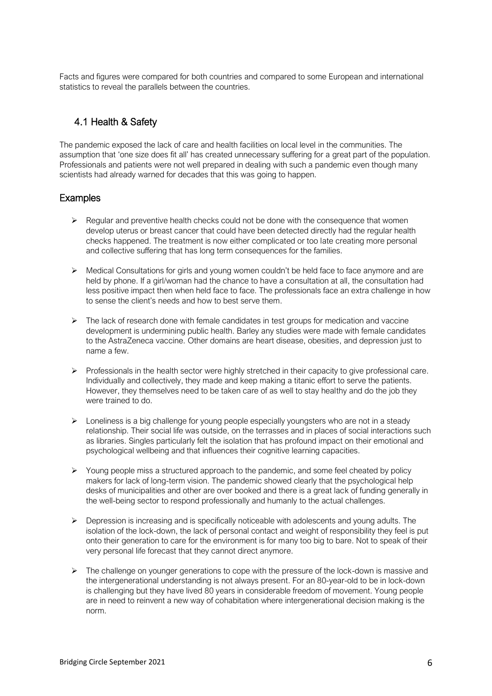Facts and figures were compared for both countries and compared to some European and international statistics to reveal the parallels between the countries.

## 4.1 Health & Safety

The pandemic exposed the lack of care and health facilities on local level in the communities. The assumption that 'one size does fit all' has created unnecessary suffering for a great part of the population. Professionals and patients were not well prepared in dealing with such a pandemic even though many scientists had already warned for decades that this was going to happen.

## Examples

- $\triangleright$  Regular and preventive health checks could not be done with the consequence that women develop uterus or breast cancer that could have been detected directly had the regular health checks happened. The treatment is now either complicated or too late creating more personal and collective suffering that has long term consequences for the families.
- ➢ Medical Consultations for girls and young women couldn't be held face to face anymore and are held by phone. If a girl/woman had the chance to have a consultation at all, the consultation had less positive impact then when held face to face. The professionals face an extra challenge in how to sense the client's needs and how to best serve them.
- ➢ The lack of research done with female candidates in test groups for medication and vaccine development is undermining public health. Barley any studies were made with female candidates to the AstraZeneca vaccine. Other domains are heart disease, obesities, and depression just to name a few.
- ➢ Professionals in the health sector were highly stretched in their capacity to give professional care. Individually and collectively, they made and keep making a titanic effort to serve the patients. However, they themselves need to be taken care of as well to stay healthy and do the job they were trained to do.
- $\triangleright$  Loneliness is a big challenge for young people especially youngsters who are not in a steady relationship. Their social life was outside, on the terrasses and in places of social interactions such as libraries. Singles particularly felt the isolation that has profound impact on their emotional and psychological wellbeing and that influences their cognitive learning capacities.
- $\triangleright$  Young people miss a structured approach to the pandemic, and some feel cheated by policy makers for lack of long-term vision. The pandemic showed clearly that the psychological help desks of municipalities and other are over booked and there is a great lack of funding generally in the well-being sector to respond professionally and humanly to the actual challenges.
- $\triangleright$  Depression is increasing and is specifically noticeable with adolescents and young adults. The isolation of the lock-down, the lack of personal contact and weight of responsibility they feel is put onto their generation to care for the environment is for many too big to bare. Not to speak of their very personal life forecast that they cannot direct anymore.
- $\triangleright$  The challenge on younger generations to cope with the pressure of the lock-down is massive and the intergenerational understanding is not always present. For an 80-year-old to be in lock-down is challenging but they have lived 80 years in considerable freedom of movement. Young people are in need to reinvent a new way of cohabitation where intergenerational decision making is the norm.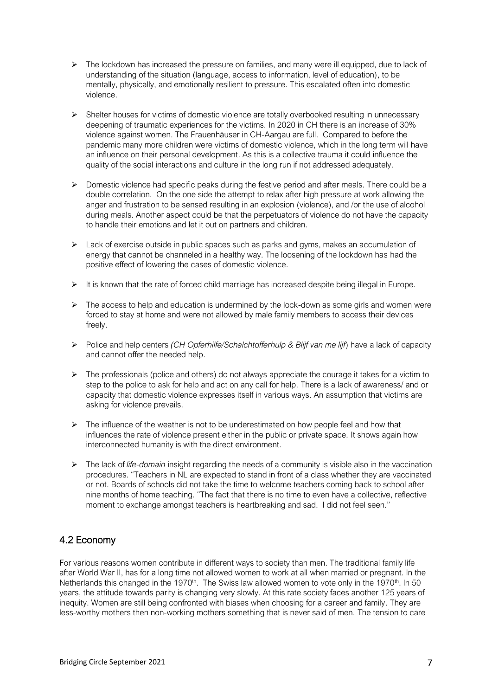- $\triangleright$  The lockdown has increased the pressure on families, and many were ill equipped, due to lack of understanding of the situation (language, access to information, level of education), to be mentally, physically, and emotionally resilient to pressure. This escalated often into domestic violence.
- ➢ Shelter houses for victims of domestic violence are totally overbooked resulting in unnecessary deepening of traumatic experiences for the victims. In 2020 in CH there is an increase of 30% violence against women. The Frauenhäuser in CH-Aargau are full. Compared to before the pandemic many more children were victims of domestic violence, which in the long term will have an influence on their personal development. As this is a collective trauma it could influence the quality of the social interactions and culture in the long run if not addressed adequately.
- ➢ Domestic violence had specific peaks during the festive period and after meals. There could be a double correlation. On the one side the attempt to relax after high pressure at work allowing the anger and frustration to be sensed resulting in an explosion (violence), and /or the use of alcohol during meals. Another aspect could be that the perpetuators of violence do not have the capacity to handle their emotions and let it out on partners and children.
- $\triangleright$  Lack of exercise outside in public spaces such as parks and gyms, makes an accumulation of energy that cannot be channeled in a healthy way. The loosening of the lockdown has had the positive effect of lowering the cases of domestic violence.
- ➢ It is known that the rate of forced child marriage has increased despite being illegal in Europe.
- $\triangleright$  The access to help and education is undermined by the lock-down as some girls and women were forced to stay at home and were not allowed by male family members to access their devices freely.
- ➢ Police and help centers *(CH Opferhilfe/Schalchtofferhulp & Blijf van me lijf*) have a lack of capacity and cannot offer the needed help.
- $\triangleright$  The professionals (police and others) do not always appreciate the courage it takes for a victim to step to the police to ask for help and act on any call for help. There is a lack of awareness/ and or capacity that domestic violence expresses itself in various ways. An assumption that victims are asking for violence prevails.
- $\triangleright$  The influence of the weather is not to be underestimated on how people feel and how that influences the rate of violence present either in the public or private space. It shows again how interconnected humanity is with the direct environment.
- ➢ The lack of *life-domain* insight regarding the needs of a community is visible also in the vaccination procedures. "Teachers in NL are expected to stand in front of a class whether they are vaccinated or not. Boards of schools did not take the time to welcome teachers coming back to school after nine months of home teaching. "The fact that there is no time to even have a collective, reflective moment to exchange amongst teachers is heartbreaking and sad. I did not feel seen."

# 4.2 Economy

For various reasons women contribute in different ways to society than men. The traditional family life after World War II, has for a long time not allowed women to work at all when married or pregnant. In the Netherlands this changed in the 1970<sup>th</sup>. The Swiss law allowed women to vote only in the 1970<sup>th</sup>. In 50 years, the attitude towards parity is changing very slowly. At this rate society faces another 125 years of inequity. Women are still being confronted with biases when choosing for a career and family. They are less-worthy mothers then non-working mothers something that is never said of men. The tension to care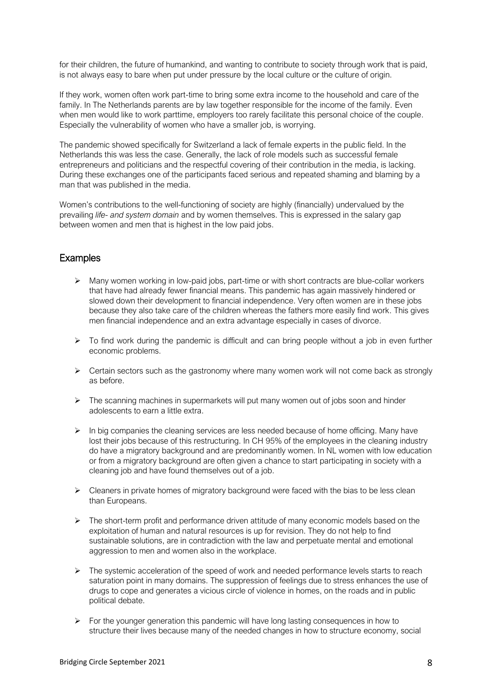for their children, the future of humankind, and wanting to contribute to society through work that is paid, is not always easy to bare when put under pressure by the local culture or the culture of origin.

If they work, women often work part-time to bring some extra income to the household and care of the family. In The Netherlands parents are by law together responsible for the income of the family. Even when men would like to work parttime, employers too rarely facilitate this personal choice of the couple. Especially the vulnerability of women who have a smaller job, is worrying.

The pandemic showed specifically for Switzerland a lack of female experts in the public field. In the Netherlands this was less the case. Generally, the lack of role models such as successful female entrepreneurs and politicians and the respectful covering of their contribution in the media, is lacking. During these exchanges one of the participants faced serious and repeated shaming and blaming by a man that was published in the media.

Women's contributions to the well-functioning of society are highly (financially) undervalued by the prevailing *life- and system domain* and by women themselves. This is expressed in the salary gap between women and men that is highest in the low paid jobs.

## **Examples**

- $\triangleright$  Many women working in low-paid jobs, part-time or with short contracts are blue-collar workers that have had already fewer financial means. This pandemic has again massively hindered or slowed down their development to financial independence. Very often women are in these jobs because they also take care of the children whereas the fathers more easily find work. This gives men financial independence and an extra advantage especially in cases of divorce.
- $\triangleright$  To find work during the pandemic is difficult and can bring people without a job in even further economic problems.
- $\triangleright$  Certain sectors such as the gastronomy where many women work will not come back as strongly as before.
- $\triangleright$  The scanning machines in supermarkets will put many women out of jobs soon and hinder adolescents to earn a little extra.
- $\triangleright$  In big companies the cleaning services are less needed because of home officing. Many have lost their jobs because of this restructuring. In CH 95% of the employees in the cleaning industry do have a migratory background and are predominantly women. In NL women with low education or from a migratory background are often given a chance to start participating in society with a cleaning job and have found themselves out of a job.
- $\triangleright$  Cleaners in private homes of migratory background were faced with the bias to be less clean than Europeans.
- ➢ The short-term profit and performance driven attitude of many economic models based on the exploitation of human and natural resources is up for revision. They do not help to find sustainable solutions, are in contradiction with the law and perpetuate mental and emotional aggression to men and women also in the workplace.
- $\triangleright$  The systemic acceleration of the speed of work and needed performance levels starts to reach saturation point in many domains. The suppression of feelings due to stress enhances the use of drugs to cope and generates a vicious circle of violence in homes, on the roads and in public political debate.
- $\triangleright$  For the younger generation this pandemic will have long lasting consequences in how to structure their lives because many of the needed changes in how to structure economy, social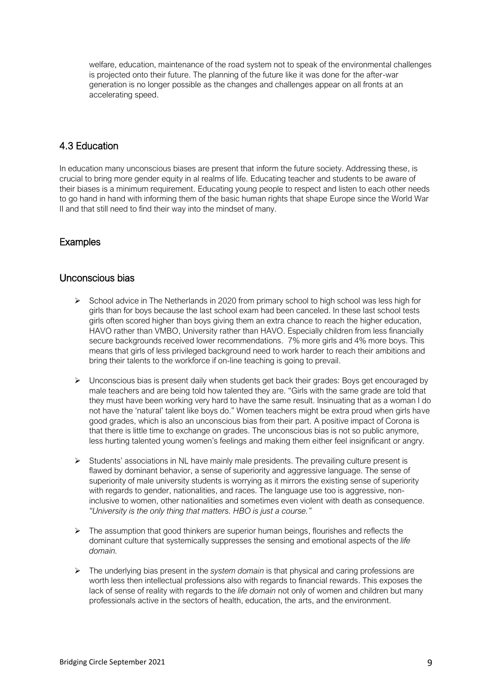welfare, education, maintenance of the road system not to speak of the environmental challenges is projected onto their future. The planning of the future like it was done for the after-war generation is no longer possible as the changes and challenges appear on all fronts at an accelerating speed.

## 4.3 Education

In education many unconscious biases are present that inform the future society. Addressing these, is crucial to bring more gender equity in al realms of life. Educating teacher and students to be aware of their biases is a minimum requirement. Educating young people to respect and listen to each other needs to go hand in hand with informing them of the basic human rights that shape Europe since the World War II and that still need to find their way into the mindset of many.

## Examples

#### Unconscious bias

- ➢ School advice in The Netherlands in 2020 from primary school to high school was less high for girls than for boys because the last school exam had been canceled. In these last school tests girls often scored higher than boys giving them an extra chance to reach the higher education, HAVO rather than VMBO, University rather than HAVO. Especially children from less financially secure backgrounds received lower recommendations. 7% more girls and 4% more boys. This means that girls of less privileged background need to work harder to reach their ambitions and bring their talents to the workforce if on-line teaching is going to prevail.
- $\triangleright$  Unconscious bias is present daily when students get back their grades: Boys get encouraged by male teachers and are being told how talented they are. "Girls with the same grade are told that they must have been working very hard to have the same result. Insinuating that as a woman I do not have the 'natural' talent like boys do." Women teachers might be extra proud when girls have good grades, which is also an unconscious bias from their part. A positive impact of Corona is that there is little time to exchange on grades. The unconscious bias is not so public anymore, less hurting talented young women's feelings and making them either feel insignificant or angry.
- ➢ Students' associations in NL have mainly male presidents. The prevailing culture present is flawed by dominant behavior, a sense of superiority and aggressive language. The sense of superiority of male university students is worrying as it mirrors the existing sense of superiority with regards to gender, nationalities, and races. The language use too is aggressive, noninclusive to women, other nationalities and sometimes even violent with death as consequence. *"University is the only thing that matters. HBO is just a course."*
- $\triangleright$  The assumption that good thinkers are superior human beings, flourishes and reflects the dominant culture that systemically suppresses the sensing and emotional aspects of the *life domain.*
- ➢ The underlying bias present in the *system domain* is that physical and caring professions are worth less then intellectual professions also with regards to financial rewards. This exposes the lack of sense of reality with regards to the *life domain* not only of women and children but many professionals active in the sectors of health, education, the arts, and the environment.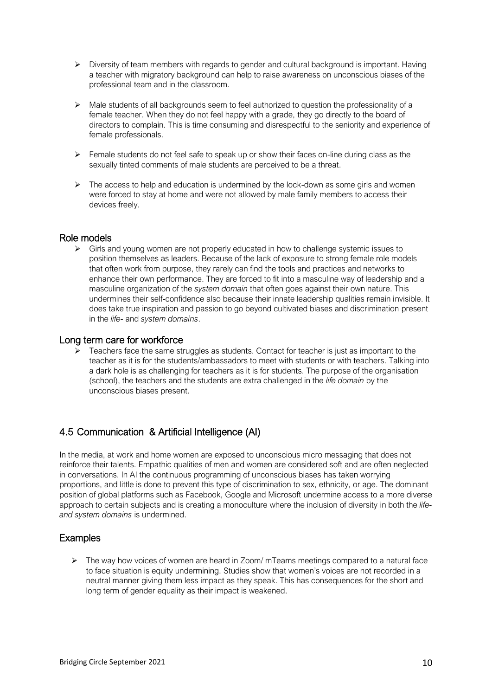- ➢ Diversity of team members with regards to gender and cultural background is important. Having a teacher with migratory background can help to raise awareness on unconscious biases of the professional team and in the classroom.
- $\triangleright$  Male students of all backgrounds seem to feel authorized to question the professionality of a female teacher. When they do not feel happy with a grade, they go directly to the board of directors to complain. This is time consuming and disrespectful to the seniority and experience of female professionals.
- $\triangleright$  Female students do not feel safe to speak up or show their faces on-line during class as the sexually tinted comments of male students are perceived to be a threat.
- ➢ The access to help and education is undermined by the lock-down as some girls and women were forced to stay at home and were not allowed by male family members to access their devices freely.

#### Role models

➢ Girls and young women are not properly educated in how to challenge systemic issues to position themselves as leaders. Because of the lack of exposure to strong female role models that often work from purpose, they rarely can find the tools and practices and networks to enhance their own performance. They are forced to fit into a masculine way of leadership and a masculine organization of the *system domain* that often goes against their own nature. This undermines their self-confidence also because their innate leadership qualities remain invisible. It does take true inspiration and passion to go beyond cultivated biases and discrimination present in the *life-* and *system domains*.

#### Long term care for workforce

➢ Teachers face the same struggles as students. Contact for teacher is just as important to the teacher as it is for the students/ambassadors to meet with students or with teachers. Talking into a dark hole is as challenging for teachers as it is for students. The purpose of the organisation (school), the teachers and the students are extra challenged in the *life domain* by the unconscious biases present.

## 4.5 Communication & Artificial Intelligence (AI)

In the media, at work and home women are exposed to unconscious micro messaging that does not reinforce their talents. Empathic qualities of men and women are considered soft and are often neglected in conversations. In AI the continuous programming of unconscious biases has taken worrying proportions, and little is done to prevent this type of discrimination to sex, ethnicity, or age. The dominant position of global platforms such as Facebook, Google and Microsoft undermine access to a more diverse approach to certain subjects and is creating a monoculture where the inclusion of diversity in both the *lifeand system domains* is undermined.

## Examples

➢ The way how voices of women are heard in Zoom/ mTeams meetings compared to a natural face to face situation is equity undermining. Studies show that women's voices are not recorded in a neutral manner giving them less impact as they speak. This has consequences for the short and long term of gender equality as their impact is weakened.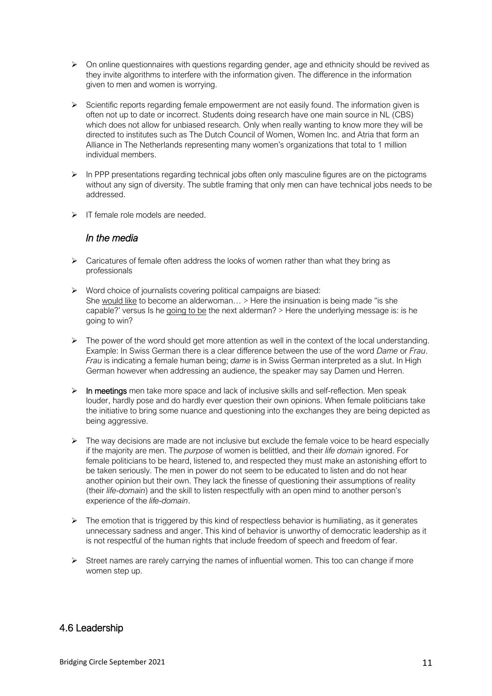- $\triangleright$  On online questionnaires with questions regarding gender, age and ethnicity should be revived as they invite algorithms to interfere with the information given. The difference in the information given to men and women is worrying.
- ➢ Scientific reports regarding female empowerment are not easily found. The information given is often not up to date or incorrect. Students doing research have one main source in NL (CBS) which does not allow for unbiased research. Only when really wanting to know more they will be directed to institutes such as The Dutch Council of Women, Women Inc. and Atria that form an Alliance in The Netherlands representing many women's organizations that total to 1 million individual members.
- ➢ In PPP presentations regarding technical jobs often only masculine figures are on the pictograms without any sign of diversity. The subtle framing that only men can have technical jobs needs to be addressed.
- ➢ IT female role models are needed.

## *In the media*

- $\triangleright$  Caricatures of female often address the looks of women rather than what they bring as professionals
- ➢ Word choice of journalists covering political campaigns are biased: She would like to become an alderwoman... > Here the insinuation is being made "is she capable?' versus Is he going to be the next alderman? > Here the underlying message is: is he going to win?
- $\triangleright$  The power of the word should get more attention as well in the context of the local understanding. Example: In Swiss German there is a clear difference between the use of the word *Dame* or *Frau*. *Frau* is indicating a female human being; *dame* is in Swiss German interpreted as a slut. In High German however when addressing an audience, the speaker may say Damen und Herren.
- $\triangleright$  In meetings men take more space and lack of inclusive skills and self-reflection. Men speak louder, hardly pose and do hardly ever question their own opinions. When female politicians take the initiative to bring some nuance and questioning into the exchanges they are being depicted as being aggressive.
- $\triangleright$  The way decisions are made are not inclusive but exclude the female voice to be heard especially if the majority are men. The *purpose* of women is belittled, and their *life domain* ignored. For female politicians to be heard, listened to, and respected they must make an astonishing effort to be taken seriously. The men in power do not seem to be educated to listen and do not hear another opinion but their own. They lack the finesse of questioning their assumptions of reality (their *life-domain*) and the skill to listen respectfully with an open mind to another person's experience of the *life-domain*.
- $\triangleright$  The emotion that is triggered by this kind of respectless behavior is humiliating, as it generates unnecessary sadness and anger. This kind of behavior is unworthy of democratic leadership as it is not respectful of the human rights that include freedom of speech and freedom of fear.
- $\triangleright$  Street names are rarely carrying the names of influential women. This too can change if more women step up.

## 4.6 Leadership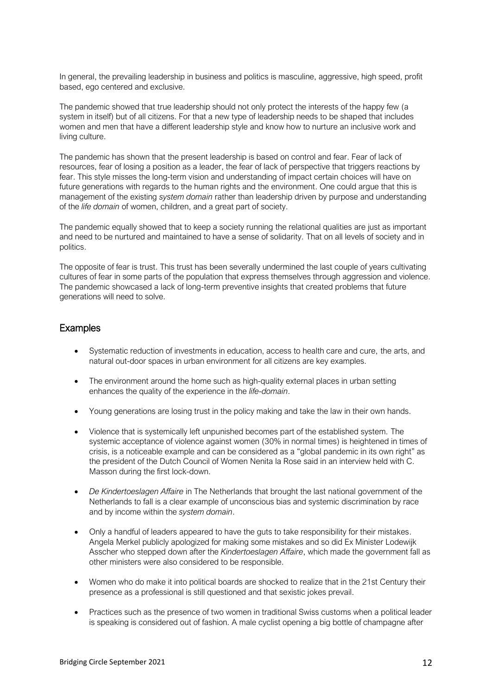In general, the prevailing leadership in business and politics is masculine, aggressive, high speed, profit based, ego centered and exclusive.

The pandemic showed that true leadership should not only protect the interests of the happy few (a system in itself) but of all citizens. For that a new type of leadership needs to be shaped that includes women and men that have a different leadership style and know how to nurture an inclusive work and living culture.

The pandemic has shown that the present leadership is based on control and fear. Fear of lack of resources, fear of losing a position as a leader, the fear of lack of perspective that triggers reactions by fear. This style misses the long-term vision and understanding of impact certain choices will have on future generations with regards to the human rights and the environment. One could argue that this is management of the existing *system domain* rather than leadership driven by purpose and understanding of the *life domain* of women, children, and a great part of society.

The pandemic equally showed that to keep a society running the relational qualities are just as important and need to be nurtured and maintained to have a sense of solidarity. That on all levels of society and in politics.

The opposite of fear is trust. This trust has been severally undermined the last couple of years cultivating cultures of fear in some parts of the population that express themselves through aggression and violence. The pandemic showcased a lack of long-term preventive insights that created problems that future generations will need to solve.

#### Examples

- Systematic reduction of investments in education, access to health care and cure, the arts, and natural out-door spaces in urban environment for all citizens are key examples.
- The environment around the home such as high-quality external places in urban setting enhances the quality of the experience in the *life-domain*.
- Young generations are losing trust in the policy making and take the law in their own hands.
- Violence that is systemically left unpunished becomes part of the established system. The systemic acceptance of violence against women (30% in normal times) is heightened in times of crisis, is a noticeable example and can be considered as a "global pandemic in its own right" as the president of the Dutch Council of Women Nenita la Rose said in an interview held with C. Masson during the first lock-down.
- *De Kindertoeslagen Affaire* in The Netherlands that brought the last national government of the Netherlands to fall is a clear example of unconscious bias and systemic discrimination by race and by income within the *system domain*.
- Only a handful of leaders appeared to have the guts to take responsibility for their mistakes. Angela Merkel publicly apologized for making some mistakes and so did Ex Minister Lodewijk Asscher who stepped down after the *Kindertoeslagen Affaire*, which made the government fall as other ministers were also considered to be responsible.
- Women who do make it into political boards are shocked to realize that in the 21st Century their presence as a professional is still questioned and that sexistic jokes prevail.
- Practices such as the presence of two women in traditional Swiss customs when a political leader is speaking is considered out of fashion. A male cyclist opening a big bottle of champagne after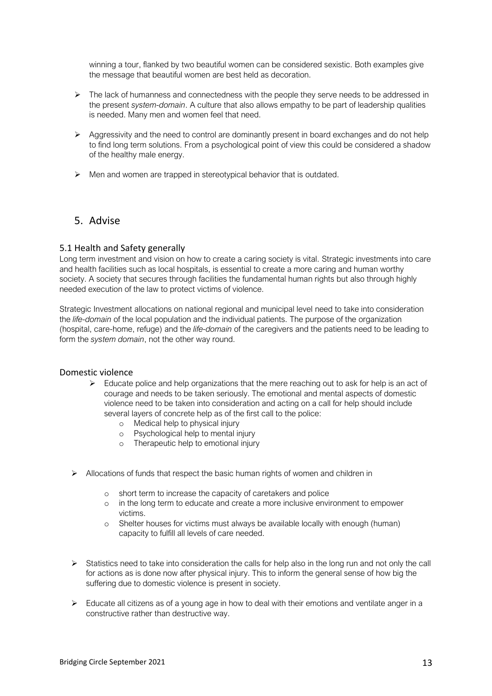winning a tour, flanked by two beautiful women can be considered sexistic. Both examples give the message that beautiful women are best held as decoration.

- $\triangleright$  The lack of humanness and connectedness with the people they serve needs to be addressed in the present *system-domain*. A culture that also allows empathy to be part of leadership qualities is needed. Many men and women feel that need.
- $\triangleright$  Aggressivity and the need to control are dominantly present in board exchanges and do not help to find long term solutions. From a psychological point of view this could be considered a shadow of the healthy male energy.
- ➢ Men and women are trapped in stereotypical behavior that is outdated.

## 5. Advise

#### 5.1 Health and Safety generally

Long term investment and vision on how to create a caring society is vital. Strategic investments into care and health facilities such as local hospitals, is essential to create a more caring and human worthy society. A society that secures through facilities the fundamental human rights but also through highly needed execution of the law to protect victims of violence.

Strategic Investment allocations on national regional and municipal level need to take into consideration the *life-domain* of the local population and the individual patients. The purpose of the organization (hospital, care-home, refuge) and the *life-domain* of the caregivers and the patients need to be leading to form the *system domain*, not the other way round.

#### Domestic violence

- $\triangleright$  Educate police and help organizations that the mere reaching out to ask for help is an act of courage and needs to be taken seriously. The emotional and mental aspects of domestic violence need to be taken into consideration and acting on a call for help should include several layers of concrete help as of the first call to the police:
	- o Medical help to physical injury
	- o Psychological help to mental injury
	- o Therapeutic help to emotional injury
- $\triangleright$  Allocations of funds that respect the basic human rights of women and children in
	- o short term to increase the capacity of caretakers and police
	- o in the long term to educate and create a more inclusive environment to empower victims.
	- o Shelter houses for victims must always be available locally with enough (human) capacity to fulfill all levels of care needed.
- $\triangleright$  Statistics need to take into consideration the calls for help also in the long run and not only the call for actions as is done now after physical injury. This to inform the general sense of how big the suffering due to domestic violence is present in society.
- $\triangleright$  Educate all citizens as of a young age in how to deal with their emotions and ventilate anger in a constructive rather than destructive way.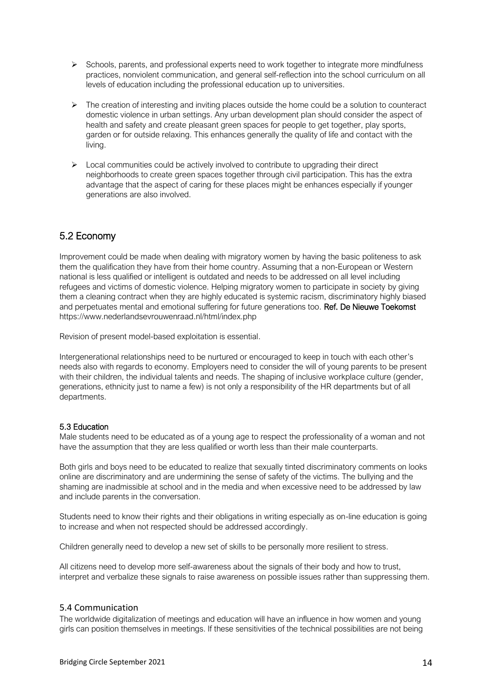- ➢ Schools, parents, and professional experts need to work together to integrate more mindfulness practices, nonviolent communication, and general self-reflection into the school curriculum on all levels of education including the professional education up to universities.
- $\triangleright$  The creation of interesting and inviting places outside the home could be a solution to counteract domestic violence in urban settings. Any urban development plan should consider the aspect of health and safety and create pleasant green spaces for people to get together, play sports, garden or for outside relaxing. This enhances generally the quality of life and contact with the living.
- $\triangleright$  Local communities could be actively involved to contribute to upgrading their direct neighborhoods to create green spaces together through civil participation. This has the extra advantage that the aspect of caring for these places might be enhances especially if younger generations are also involved.

# 5.2 Economy

Improvement could be made when dealing with migratory women by having the basic politeness to ask them the qualification they have from their home country. Assuming that a non-European or Western national is less qualified or intelligent is outdated and needs to be addressed on all level including refugees and victims of domestic violence. Helping migratory women to participate in society by giving them a cleaning contract when they are highly educated is systemic racism, discriminatory highly biased and perpetuates mental and emotional suffering for future generations too. Ref. De Nieuwe Toekomst https://www.nederlandsevrouwenraad.nl/html/index.php

Revision of present model-based exploitation is essential.

Intergenerational relationships need to be nurtured or encouraged to keep in touch with each other's needs also with regards to economy. Employers need to consider the will of young parents to be present with their children, the individual talents and needs. The shaping of inclusive workplace culture (gender, generations, ethnicity just to name a few) is not only a responsibility of the HR departments but of all departments.

#### 5.3 Education

Male students need to be educated as of a young age to respect the professionality of a woman and not have the assumption that they are less qualified or worth less than their male counterparts.

Both girls and boys need to be educated to realize that sexually tinted discriminatory comments on looks online are discriminatory and are undermining the sense of safety of the victims. The bullying and the shaming are inadmissible at school and in the media and when excessive need to be addressed by law and include parents in the conversation.

Students need to know their rights and their obligations in writing especially as on-line education is going to increase and when not respected should be addressed accordingly.

Children generally need to develop a new set of skills to be personally more resilient to stress.

All citizens need to develop more self-awareness about the signals of their body and how to trust, interpret and verbalize these signals to raise awareness on possible issues rather than suppressing them.

#### 5.4 Communication

The worldwide digitalization of meetings and education will have an influence in how women and young girls can position themselves in meetings. If these sensitivities of the technical possibilities are not being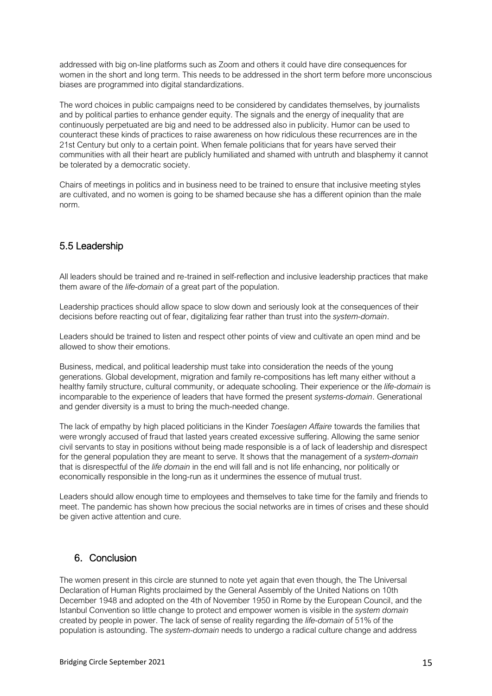addressed with big on-line platforms such as Zoom and others it could have dire consequences for women in the short and long term. This needs to be addressed in the short term before more unconscious biases are programmed into digital standardizations.

The word choices in public campaigns need to be considered by candidates themselves, by journalists and by political parties to enhance gender equity. The signals and the energy of inequality that are continuously perpetuated are big and need to be addressed also in publicity. Humor can be used to counteract these kinds of practices to raise awareness on how ridiculous these recurrences are in the 21st Century but only to a certain point. When female politicians that for years have served their communities with all their heart are publicly humiliated and shamed with untruth and blasphemy it cannot be tolerated by a democratic society.

Chairs of meetings in politics and in business need to be trained to ensure that inclusive meeting styles are cultivated, and no women is going to be shamed because she has a different opinion than the male norm.

## 5.5 Leadership

All leaders should be trained and re-trained in self-reflection and inclusive leadership practices that make them aware of the *life-domain* of a great part of the population.

Leadership practices should allow space to slow down and seriously look at the consequences of their decisions before reacting out of fear, digitalizing fear rather than trust into the *system-domain*.

Leaders should be trained to listen and respect other points of view and cultivate an open mind and be allowed to show their emotions.

Business, medical, and political leadership must take into consideration the needs of the young generations. Global development, migration and family re-compositions has left many either without a healthy family structure, cultural community, or adequate schooling. Their experience or the *life-domain* is incomparable to the experience of leaders that have formed the present *systems-domain*. Generational and gender diversity is a must to bring the much-needed change.

The lack of empathy by high placed politicians in the Kinder *Toeslagen Affaire* towards the families that were wrongly accused of fraud that lasted years created excessive suffering. Allowing the same senior civil servants to stay in positions without being made responsible is a of lack of leadership and disrespect for the general population they are meant to serve. It shows that the management of a *system-domain* that is disrespectful of the *life domain* in the end will fall and is not life enhancing, nor politically or economically responsible in the long-run as it undermines the essence of mutual trust.

Leaders should allow enough time to employees and themselves to take time for the family and friends to meet. The pandemic has shown how precious the social networks are in times of crises and these should be given active attention and cure.

## 6. Conclusion

The women present in this circle are stunned to note yet again that even though, the The Universal Declaration of Human Rights proclaimed by the General Assembly of the United Nations on 10th December 1948 and adopted on the 4th of November 1950 in Rome by the European Council, and the Istanbul Convention so little change to protect and empower women is visible in the *system domain* created by people in power. The lack of sense of reality regarding the *life-domain* of 51% of the population is astounding. The *system-domain* needs to undergo a radical culture change and address